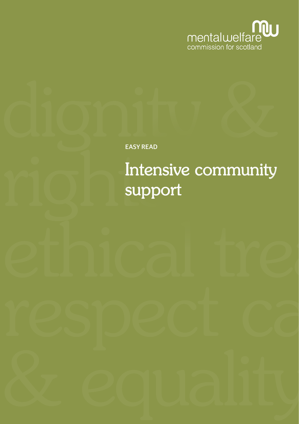

EASY READ

# Intensive community support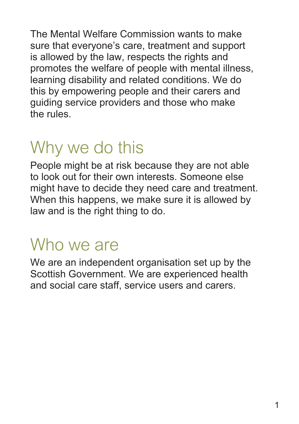The Mental Welfare Commission wants to make sure that everyone's care, treatment and support is allowed by the law, respects the rights and promotes the welfare of people with mental illness, learning disability and related conditions. We do this by empowering people and their carers and guiding service providers and those who make the rules.

## Why we do this

People might be at risk because they are not able to look out for their own interests. Someone else might have to decide they need care and treatment. When this happens, we make sure it is allowed by law and is the right thing to do.

### Who we are

We are an independent organisation set up by the Scottish Government. We are experienced health and social care staff, service users and carers.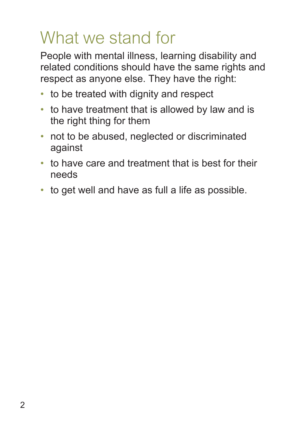## What we stand for

People with mental illness, learning disability and related conditions should have the same rights and respect as anyone else. They have the right:

- to be treated with dignity and respect
- to have treatment that is allowed by law and is the right thing for them
- not to be abused, neglected or discriminated against
- to have care and treatment that is best for their needs
- to get well and have as full a life as possible.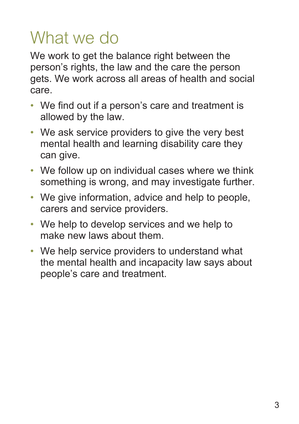## What we do

We work to get the balance right between the person's rights, the law and the care the person gets. We work across all areas of health and social care.

- We find out if a person's care and treatment is allowed by the law.
- We ask service providers to give the very best mental health and learning disability care they can give.
- We follow up on individual cases where we think something is wrong, and may investigate further.
- We give information, advice and help to people, carers and service providers.
- We help to develop services and we help to make new laws about them.
- We help service providers to understand what the mental health and incapacity law says about people's care and treatment.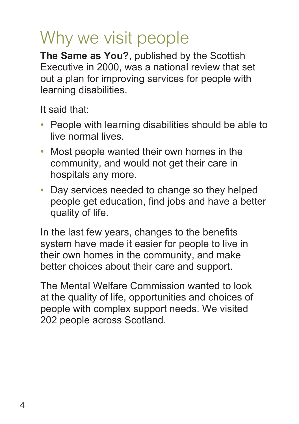## Why we visit people

**The Same as You?**, published by the Scottish Executive in 2000, was a national review that set out a plan for improving services for people with learning disabilities.

It said that:

- People with learning disabilities should be able to live normal lives.
- Most people wanted their own homes in the community, and would not get their care in hospitals any more.
- Day services needed to change so they helped people get education, find jobs and have a better quality of life.

In the last few years, changes to the benefits system have made it easier for people to live in their own homes in the community, and make better choices about their care and support.

The Mental Welfare Commission wanted to look at the quality of life, opportunities and choices of people with complex support needs. We visited 202 people across Scotland.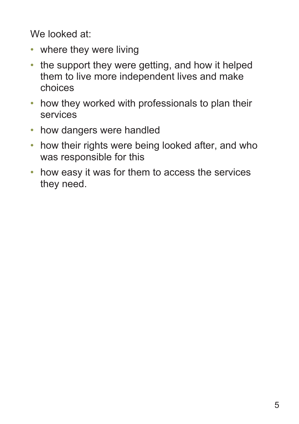We looked at:

- where they were living
- the support they were getting, and how it helped them to live more independent lives and make choices
- how they worked with professionals to plan their services
- how dangers were handled
- how their rights were being looked after, and who was responsible for this
- how easy it was for them to access the services they need.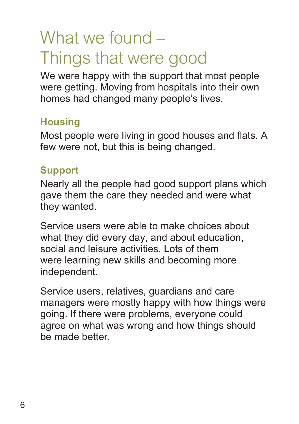## What we found – Things that were good

We were happy with the support that most people were getting. Moving from hospitals into their own homes had changed many people's lives.

#### **Housing**

Most people were living in good houses and flats. A few were not, but this is being changed.

#### **Support**

Nearly all the people had good support plans which gave them the care they needed and were what they wanted.

Service users were able to make choices about what they did every day, and about education, social and leisure activities. Lots of them were learning new skills and becoming more independent.

Service users, relatives, guardians and care managers were mostly happy with how things were going. If there were problems, everyone could agree on what was wrong and how things should be made better.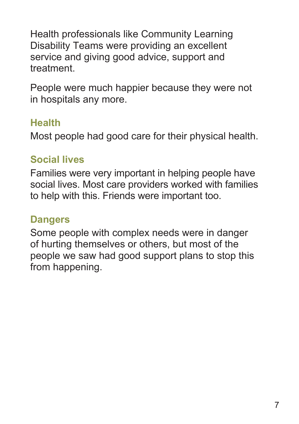Health professionals like Community Learning Disability Teams were providing an excellent service and giving good advice, support and treatment.

People were much happier because they were not in hospitals any more.

#### **Health**

Most people had good care for their physical health.

#### **Social lives**

Families were very important in helping people have social lives. Most care providers worked with families to help with this. Friends were important too.

#### **Dangers**

Some people with complex needs were in danger of hurting themselves or others, but most of the people we saw had good support plans to stop this from happening.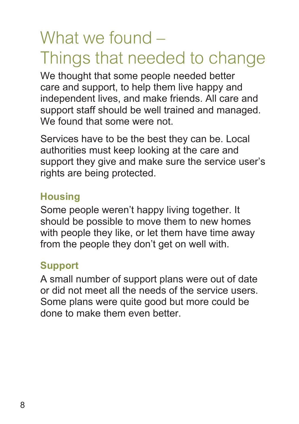### What we found – Things that needed to change

We thought that some people needed better care and support, to help them live happy and independent lives, and make friends. All care and support staff should be well trained and managed. We found that some were not.

Services have to be the best they can be. Local authorities must keep looking at the care and support they give and make sure the service user's rights are being protected.

#### **Housing**

Some people weren't happy living together. It should be possible to move them to new homes with people they like, or let them have time away from the people they don't get on well with.

#### **Support**

A small number of support plans were out of date or did not meet all the needs of the service users. Some plans were quite good but more could be done to make them even better.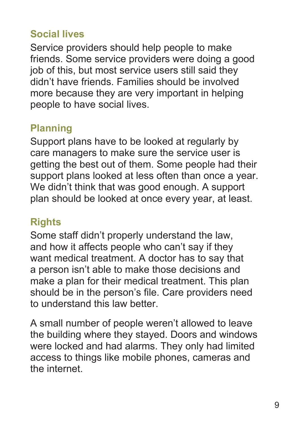#### **Social lives**

Service providers should help people to make friends. Some service providers were doing a good job of this, but most service users still said they didn't have friends. Families should be involved more because they are very important in helping people to have social lives.

#### **Planning**

Support plans have to be looked at regularly by care managers to make sure the service user is getting the best out of them. Some people had their support plans looked at less often than once a year. We didn't think that was good enough. A support plan should be looked at once every year, at least.

#### **Rights**

Some staff didn't properly understand the law, and how it affects people who can't say if they want medical treatment. A doctor has to say that a person isn't able to make those decisions and make a plan for their medical treatment. This plan should be in the person's file. Care providers need to understand this law better.

A small number of people weren't allowed to leave the building where they stayed. Doors and windows were locked and had alarms. They only had limited access to things like mobile phones, cameras and the internet.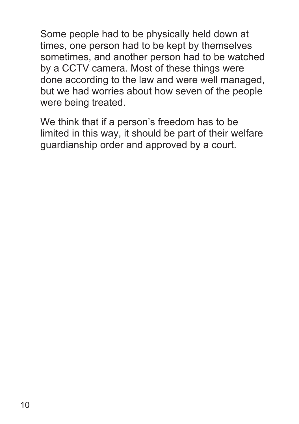Some people had to be physically held down at times, one person had to be kept by themselves sometimes, and another person had to be watched by a CCTV camera. Most of these things were done according to the law and were well managed, but we had worries about how seven of the people were being treated.

We think that if a person's freedom has to be limited in this way, it should be part of their welfare guardianship order and approved by a court.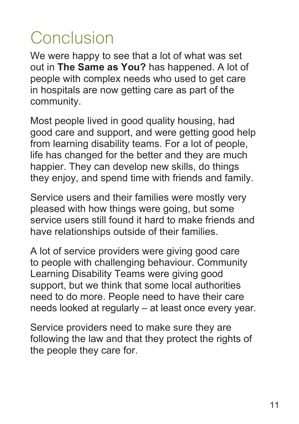## **Conclusion**

We were happy to see that a lot of what was set out in **The Same as You?** has happened. A lot of people with complex needs who used to get care in hospitals are now getting care as part of the community.

Most people lived in good quality housing, had good care and support, and were getting good help from learning disability teams. For a lot of people, life has changed for the better and they are much happier. They can develop new skills, do things they enjoy, and spend time with friends and family.

Service users and their families were mostly very pleased with how things were going, but some service users still found it hard to make friends and have relationships outside of their families.

A lot of service providers were giving good care to people with challenging behaviour. Community Learning Disability Teams were giving good support, but we think that some local authorities need to do more. People need to have their care needs looked at regularly – at least once every year.

Service providers need to make sure they are following the law and that they protect the rights of the people they care for.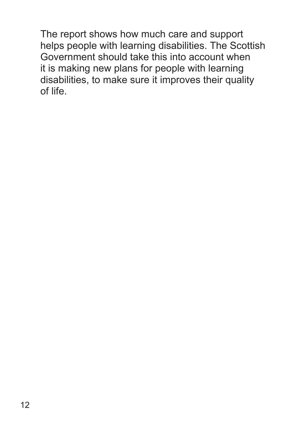The report shows how much care and support helps people with learning disabilities. The Scottish Government should take this into account when it is making new plans for people with learning disabilities, to make sure it improves their quality of life.